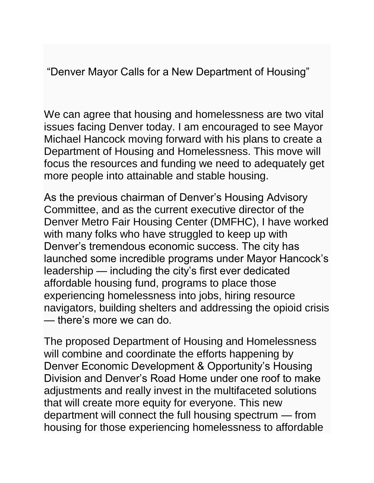"Denver Mayor Calls for a New Department of Housing"

We can agree that housing and homelessness are two vital issues facing Denver today. I am encouraged to see Mayor Michael Hancock moving forward with his plans to create a Department of Housing and Homelessness. This move will focus the resources and funding we need to adequately get more people into attainable and stable housing.

As the previous chairman of Denver's Housing Advisory Committee, and as the current executive director of the Denver Metro Fair Housing Center (DMFHC), I have worked with many folks who have struggled to keep up with Denver's tremendous economic success. The city has launched some incredible programs under Mayor Hancock's leadership — including the city's first ever dedicated affordable housing fund, programs to place those experiencing homelessness into jobs, hiring resource navigators, building shelters and addressing the opioid crisis — there's more we can do.

The proposed Department of Housing and Homelessness will combine and coordinate the efforts happening by Denver Economic Development & Opportunity's Housing Division and Denver's Road Home under one roof to make adjustments and really invest in the multifaceted solutions that will create more equity for everyone. This new department will connect the full housing spectrum — from housing for those experiencing homelessness to affordable